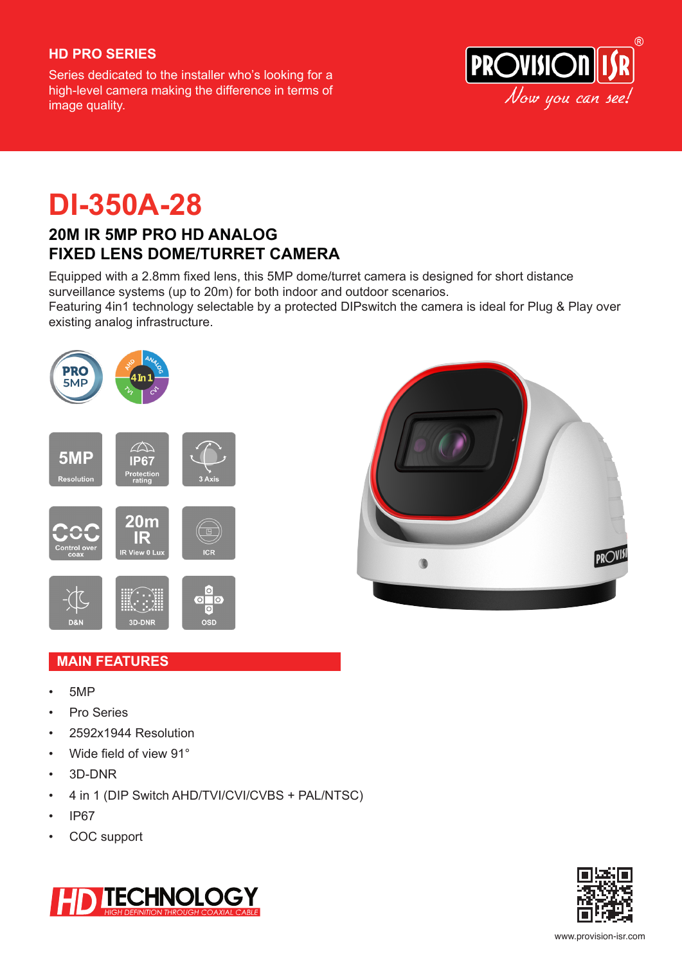### **HD PRO SERIES**

Series dedicated to the installer who's looking for a high-level camera making the difference in terms of image quality.



# **DI-350A-28**

### **20M IR 5MP PRO HD ANALOG FIXED LENS DOME/TURRET CAMERA**

Equipped with a 2.8mm fixed lens, this 5MP dome/turret camera is designed for short distance surveillance systems (up to 20m) for both indoor and outdoor scenarios.

Featuring 4in1 technology selectable by a protected DIPswitch the camera is ideal for Plug & Play over existing analog infrastructure.





### **MAIN FEATURES**

- 5MP
- Pro Series
- 2592x1944 Resolution
- Wide field of view 91°
- 3D-DNR
- 4 in 1 (DIP Switch AHD/TVI/CVI/CVBS + PAL/NTSC)
- IP67
- COC support



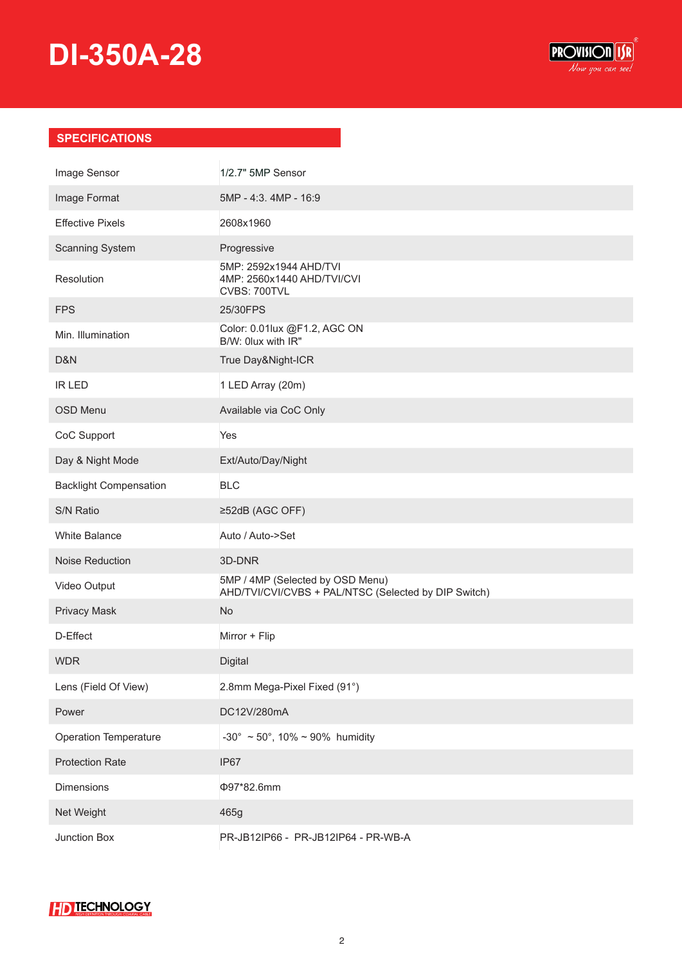## **DI-350A-28**



### **SPECIFICATIONS**

| Image Sensor                  | 1/2.7" 5MP Sensor                                                                        |
|-------------------------------|------------------------------------------------------------------------------------------|
| Image Format                  | 5MP - 4:3. 4MP - 16:9                                                                    |
| <b>Effective Pixels</b>       | 2608x1960                                                                                |
| <b>Scanning System</b>        | Progressive                                                                              |
| Resolution                    | 5MP: 2592x1944 AHD/TVI<br>4MP: 2560x1440 AHD/TVI/CVI<br>CVBS: 700TVL                     |
| <b>FPS</b>                    | 25/30FPS                                                                                 |
| Min. Illumination             | Color: 0.01lux @F1.2, AGC ON<br>B/W: 0lux with IR"                                       |
| D&N                           | True Day&Night-ICR                                                                       |
| <b>IR LED</b>                 | 1 LED Array (20m)                                                                        |
| <b>OSD Menu</b>               | Available via CoC Only                                                                   |
| CoC Support                   | Yes                                                                                      |
| Day & Night Mode              | Ext/Auto/Day/Night                                                                       |
| <b>Backlight Compensation</b> | <b>BLC</b>                                                                               |
| S/N Ratio                     | ≥52dB (AGC OFF)                                                                          |
| White Balance                 | Auto / Auto->Set                                                                         |
| Noise Reduction               | 3D-DNR                                                                                   |
| Video Output                  | 5MP / 4MP (Selected by OSD Menu)<br>AHD/TVI/CVI/CVBS + PAL/NTSC (Selected by DIP Switch) |
| <b>Privacy Mask</b>           | <b>No</b>                                                                                |
| D-Effect                      | Mirror + Flip                                                                            |
| <b>WDR</b>                    | Digital                                                                                  |
| Lens (Field Of View)          | 2.8mm Mega-Pixel Fixed (91°)                                                             |
| Power                         | DC12V/280mA                                                                              |
| <b>Operation Temperature</b>  | -30° ~ 50°, 10% ~ 90% humidity                                                           |
| <b>Protection Rate</b>        | IP67                                                                                     |
| Dimensions                    | Φ97*82.6mm                                                                               |
| Net Weight                    | 465g                                                                                     |
| Junction Box                  | PR-JB12IP66 - PR-JB12IP64 - PR-WB-A                                                      |